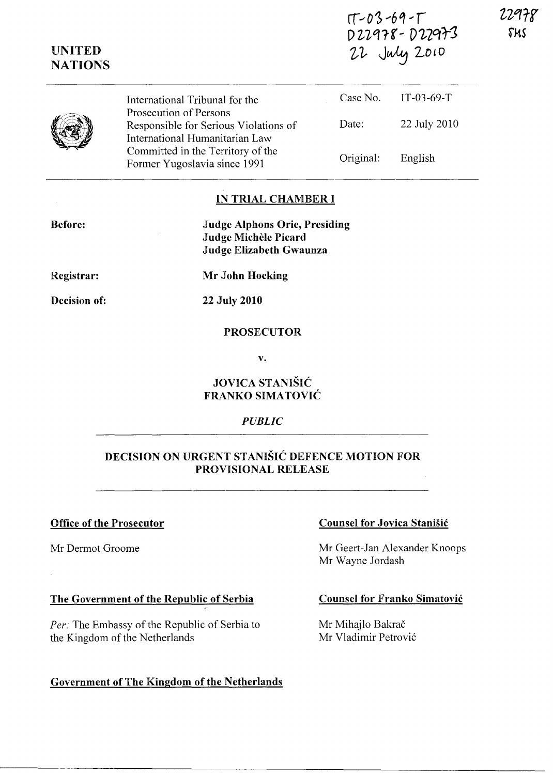| $17 - 03 - 69 - 17$ |
|---------------------|
| D22978-D22973       |
| 22 July 2010        |

22978 5us

|  | International Tribunal for the                                                                    | Case No.  | $TT-03-69-T$ |
|--|---------------------------------------------------------------------------------------------------|-----------|--------------|
|  | Prosecution of Persons<br>Responsible for Serious Violations of<br>International Humanitarian Law | Date:     | 22 July 2010 |
|  | Committed in the Territory of the<br>Former Yugoslavia since 1991                                 | Original: | English      |

# IN TRIAL CHAMBER I

Before:

UNITED **NATIONS** 

> Judge Alphons Orie, Presiding Judge Michèle Picard Judge Elizabeth Gwaunza

Registrar:

Mr John Hocking

Decision of:

22 July 2010

#### PROSECUTOR

v.

# JOVICA STANISIC FRANKO SIMATOVIC

## *PUBLIC*

## DECISION ON URGENT STANISIC DEFENCE MOTION FOR PROVISIONAL RELEASE

#### Office of the Prosecutor

Mr Dermot Groome

## The Government of the Republic of Serbia

*Per:* The Embassy of the Republic of Serbia to the Kingdom of the Netherlands

## Government of The Kingdom of the Netherlands

#### Counsel for Jovica Stanisic

Mr Geert-Jan Alexander Knoops Mr Wayne Jordash

#### Counsel for Franko Simatovic

Mr Mihajlo Bakrač Mr Vladimir Petrovic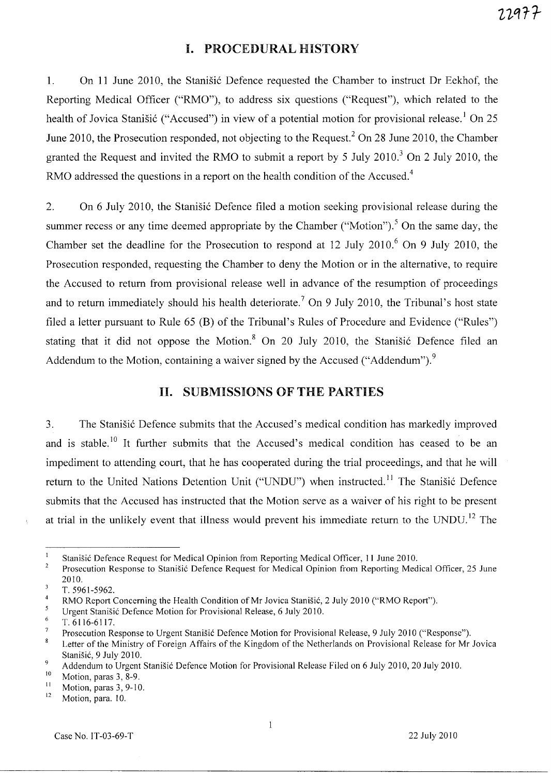## **I. PROCEDURAL HISTORY**

1. On 11 June 2010, the Stanisic Defence requested the Chamber to instruct Dr Eekhof, the Reporting Medical Officer ("RMO"), to address six questions ("Request"), which related to the health of Jovica Stanišić ("Accused") in view of a potential motion for provisional release.<sup>1</sup> On 25 June 2010, the Prosecution responded, not objecting to the Request.<sup>2</sup> On 28 June 2010, the Chamber granted the Request and invited the RMO to submit a report by 5 July  $2010<sup>3</sup>$  On 2 July 2010, the RMO addressed the questions in a report on the health condition of the Accused.<sup>4</sup>

2. On 6 July 2010, the Stanisic Defence filed a motion seeking provisional release during the summer recess or any time deemed appropriate by the Chamber ("Motion").<sup>5</sup> On the same day, the Chamber set the deadline for the Prosecution to respond at  $12$  July  $2010$ .<sup>6</sup> On 9 July 2010, the Prosecution responded, requesting the Chamber to deny the Motion or in the alternative, to require the Accused to return from provisional release well in advance of the resumption of proceedings and to return immediately should his health deteriorate.<sup>7</sup> On 9 July 2010, the Tribunal's host state filed a letter pursuant to Rule 65 (B) of the Tribunal's Rules of Procedure and Evidence ("Rules") stating that it did not oppose the Motion. $8$  On 20 July 2010, the Stanisic Defence filed an Addendum to the Motion, containing a waiver signed by the Accused ("Addendum").<sup>9</sup>

## **II. SUBMISSIONS OF THE PARTIES**

3. The Stanišić Defence submits that the Accused's medical condition has markedly improved and is stable.<sup>10</sup> It further submits that the Accused's medical condition has ceased to be an impediment to attending court, that he has cooperated during the trial proceedings, and that he will return to the United Nations Detention Unit ("UNDU") when instructed.<sup>11</sup> The Stanišić Defence submits that the Accused has instructed that the Motion serve as a waiver of his right to be present at trial in the unlikely event that illness would prevent his immediate return to the UNDU.<sup>12</sup> The

 $\overline{1}$ Stanišić Defence Request for Medical Opinion from Reporting Medical Officer, 11 June 2010.

<sup>2</sup>  Prosecution Response to Stanisic Defence Request for Medical Opinion from Reporting Medical Officer, 25 June 2010.

 $\overline{\mathbf{3}}$ T.5961-5962.

 $\overline{4}$ RMO Report Concerning the Health Condition of Mr Jovica Stanisic, 2 July 2010 ("RMO Report").

 $\overline{\mathbf{5}}$ Urgent Stanisic Defence Motion for Provisional Release, 6 July 2010.

 $\epsilon$ T. 6116-6117.

 $\overline{7}$ Prosecution Response to Urgent Stanišić Defence Motion for Provisional Release, 9 July 2010 ("Response").

 $\bf{8}$ Letter of the Ministry of Foreign Affairs of the Kingdom of the Netherlands on Provisional Release for Mr Jovica Stanisic, 9 July 2010.

<sup>&</sup>lt;sup>9</sup> Addendum to Urgent Stanišić Defence Motion for Provisional Release Filed on 6 July 2010, 20 July 2010.

 $\frac{10}{11}$  Motion, paras 3, 8-9.

 $\frac{11}{12}$  Motion, paras 3, 9-10.

Motion, para. 10.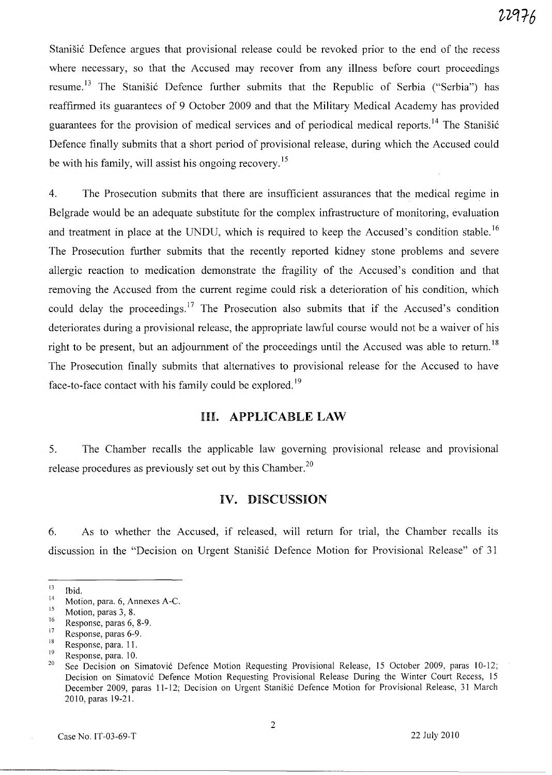Stanišić Defence argues that provisional release could be revoked prior to the end of the recess where necessary, so that the Accused may recover from any illness before court proceedings resume.<sup>13</sup> The Stanišić Defence further submits that the Republic of Serbia ("Serbia") has reaffirmed its guarantees of 9 October 2009 and that the Military Medical Academy has provided guarantees for the provision of medical services and of periodical medical reports.<sup>14</sup> The Stanišić Defence finally submits that a short period of provisional release, during which the Accused could be with his family, will assist his ongoing recovery. *IS* 

4. The Prosecution submits that there are insufficient assurances that the medical regime in Belgrade would be an adequate substitute for the complex infrastructure of monitoring, evaluation and treatment in place at the UNDU, which is required to keep the Accused's condition stable.<sup>16</sup> The Prosecution further submits that the recently reported kidney stone problems and severe allergic reaction to medication demonstrate the fragility of the Accused's condition and that removing the Accused from the current regime could risk a deterioration of his condition, which could delay the proceedings.<sup>17</sup> The Prosecution also submits that if the Accused's condition deteriorates during a provisional release, the appropriate lawful course would not be a waiver of his right to be present, but an adjournment of the proceedings until the Accused was able to return.<sup>18</sup> The Prosecution finally submits that alternatives to provisional release for the Accused to have face-to-face contact with his family could be explored.<sup>19</sup>

#### **HI. APPLICABLE LAW**

5. The Chamber recalls the applicable law governing provisional release and provisional release procedures as previously set out by this Chamber.<sup>20</sup>

### **IV. DISCUSSION**

6. As to whether the Accused, if released, will return for trial, the Chamber recalls its discussion in the "Decision on Urgent Stanišić Defence Motion for Provisional Release" of 31

 $\frac{13}{14}$  Ibid.

 $14$  Motion, para. 6, Annexes A-C.

 $\frac{15}{16}$  Motion, paras 3, 8.

 $^{16}$  Response, paras 6, 8-9.

 $17$  Response, paras 6-9.

 $18$  Response, para. 11.

 $\frac{19}{20}$  Response, para. 10.

See Decision on Simatović Defence Motion Requesting Provisional Release, 15 October 2009, paras 10-12; Decision on Simatović Defence Motion Requesting Provisional Release During the Winter Court Recess, 15 December 2009, paras 11-12; Decision on Urgent Stanišić Defence Motion for Provisional Release, 31 March 2010, paras 19-2l.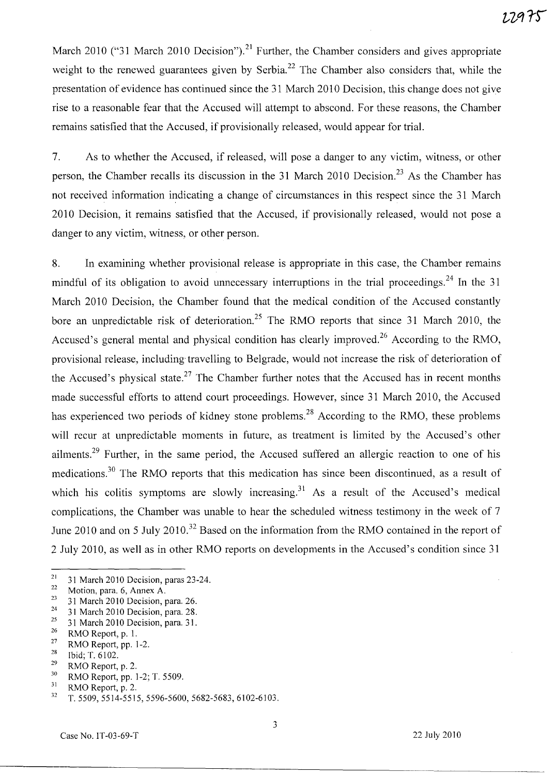March 2010 ("31 March 2010 Decision").<sup>21</sup> Further, the Chamber considers and gives appropriate weight to the renewed guarantees given by Serbia.<sup>22</sup> The Chamber also considers that, while the presentation of evidence has continued since the 31 March 2010 Decision, this change does not give rise to a reasonable fear that the Accused will attempt to abscond. For these reasons, the Chamber remains satisfied that the Accused, if provisionally released, would appear for trial.

7. As to whether the Accused, if released, will pose a danger to any victim, witness, or other person, the Chamber recalls its discussion in the 31 March 2010 Decision.<sup>23</sup> As the Chamber has not received information indicating a change of circumstances in this respect since the 31 March 2010 Decision, it remains satisfied that the Accused, if provisionally released, would not pose a danger to any victim, witness, or other person.

8. In examining whether provisional release is appropriate in this case, the Chamber remains mindful of its obligation to avoid unnecessary interruptions in the trial proceedings.<sup>24</sup> In the 31 March 2010 Decision, the Chamber found that the medical condition of the Accused constantly bore an unpredictable risk of deterioration.<sup>25</sup> The RMO reports that since 31 March 2010, the Accused's general mental and physical condition has clearly improved.<sup>26</sup> According to the RMO, provisional release, including' travelling to Belgrade, would not increase the risk of deterioration of the Accused's physical state.<sup>27</sup> The Chamber further notes that the Accused has in recent months made successful efforts to attend court proceedings. However, since 31 March 2010, the Accused has experienced two periods of kidney stone problems.<sup>28</sup> According to the RMO, these problems will recur at unpredictable moments in future, as treatment is limited by the Accused's other ailments.<sup>29</sup> Further, in the same period, the Accused suffered an allergic reaction to one of his medications.<sup>30</sup> The RMO reports that this medication has since been discontinued, as a result of which his colitis symptoms are slowly increasing.<sup>31</sup> As a result of the Accused's medical complications, the Chamber was unable to hear the scheduled witness testimony in the week of 7 June 2010 and on 5 July 2010.<sup>32</sup> Based on the information from the RMO contained in the report of 2 July 2010, as well as in other RMO reports on developments in the Accused's condition since 31

- <sup>24</sup> 31 March 2010 Decision, para. 28.<br><sup>25</sup> 21 March 2010 Decision, para. 21.
- <sup>25</sup> 31 March 2010 Decision, para. 31.
- $\frac{26}{27}$  RMO Report, p. 1.
- <sup>27</sup> RMO Report, pp. 1-2.
- $\frac{28}{29}$  Ibid; T. 6102.
- $^{29}$  RMO Report, p. 2.
- $^{30}$  RMO Report, pp. 1-2; T. 5509.
- $^{31}$  RMO Report, p. 2.<br> $^{32}$  T 5509 5514-551

<sup>&</sup>lt;sup>21</sup> 31 March 2010 Decision, paras 23-24.<br><sup>22</sup> Motion para 6. Appex A

 $\frac{22}{23}$  Motion, para. 6, Annex A.

 $^{23}$  31 March 2010 Decision, para. 26.<br> $^{24}$  31 March 2010 Decision, para. 28.

<sup>32</sup> T. 5509, 5514-5515, 5596-5600, 5682-5683, 6102-6103.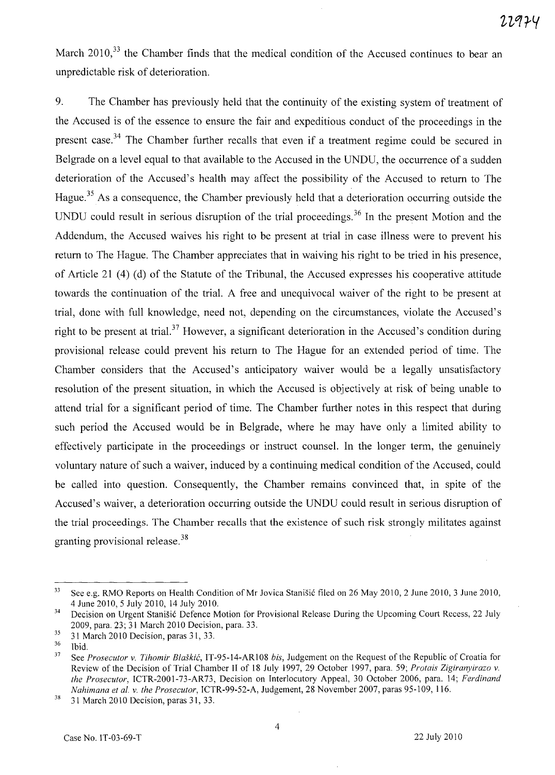March 2010,<sup>33</sup> the Chamber finds that the medical condition of the Accused continues to bear an unpredictable risk of deterioration.

9. The Chamber has previously held that the continuity of the existing system of treatment of the Accused is of the essence to ensure the fair and expeditious conduct of the proceedings in the present case.<sup>34</sup> The Chamber further recalls that even if a treatment regime could be secured in Belgrade on a level equal to that available to the Accused in the UNDU, the occurrence of a sudden deterioration of the Accused's health may affect the possibility of the Accused to return to The Hague.<sup>35</sup> As a consequence, the Chamber previously held that a deterioration occurring outside the UNDU could result in serious disruption of the trial proceedings.<sup>36</sup> In the present Motion and the Addendum, the Accused waives his right to be present at trial in case illness were to prevent his return to The Hague. The Chamber appreciates that in waiving his right to be tried in his presence, of Article 21 (4 ) (d) of the Statute of the Tribunal, the Accused expresses his cooperative attitude towards the continuation of the trial. A free and unequivocal waiver of the right to be present at trial, done with full knowledge, need not, depending on the circumstances, violate the Accused's right to be present at trial.<sup>37</sup> However, a significant deterioration in the Accused's condition during provisional release could prevent his return to The Hague for an extended period of time. The Chamber considers that the Accused's anticipatory waiver would be a legally unsatisfactory resolution of the present situation, in which the Accused is objectively at risk of being unable to attend trial for a significant period of time. The Chamber further notes in this respect that during such period the Accused would be in Belgrade, where he may have only a limited ability to effectively participate in the proceedings or instruct counsel. In the longer term, the genuinely voluntary nature of such a waiver, induced by a continuing medical condition of the Accused, could be called into question. Consequently, the Chamber remains convinced that, in spite of the Accused's waiver, a deterioration occurring outside the UNDU could result in serious disruption of the trial proceedings. The Chamber recalls that the existence of such risk strongly militates against granting provisional release. <sup>38</sup>

<sup>&</sup>lt;sup>33</sup> See e.g. RMO Reports on Health Condition of Mr Jovica Stanišić filed on 26 May 2010, 2 June 2010, 3 June 2010, 4 June 2010, 5 July 2010, 14 July 2010.

<sup>&</sup>lt;sup>34</sup> Decision on Urgent Stanišić Defence Motion for Provisional Release During the Upcoming Court Recess, 22 July 2009, para. 23; 31 March 2010 Decision, para. 33.

 $\frac{35}{36}$  31 March 2010 Decision, paras 31, 33.

 $rac{36}{37}$  Ibid.

<sup>37</sup> See *Prosecutor v. Tihomir Blaskic,* IT-95-14-ARI08 *bis,* Judgement on the Request of the Republic ofCroatia for Review of the Decision of Trial Chamber Il of 18 July 1997,29 October 1997, para. 59; *Protais Zigiranyirazo v. the Prosecutor,* ICTR-2001-73-AR73, Decision on Interlocutory Appeal, 30 October 2006, para. 14; *Ferdinand Nahimana et at. v. the Prosecutor,* ICTR-99-52-A, Judgement, 28 November 2007, paras 95-109, 116.

 $38$  31 March 2010 Decision, paras 31, 33.